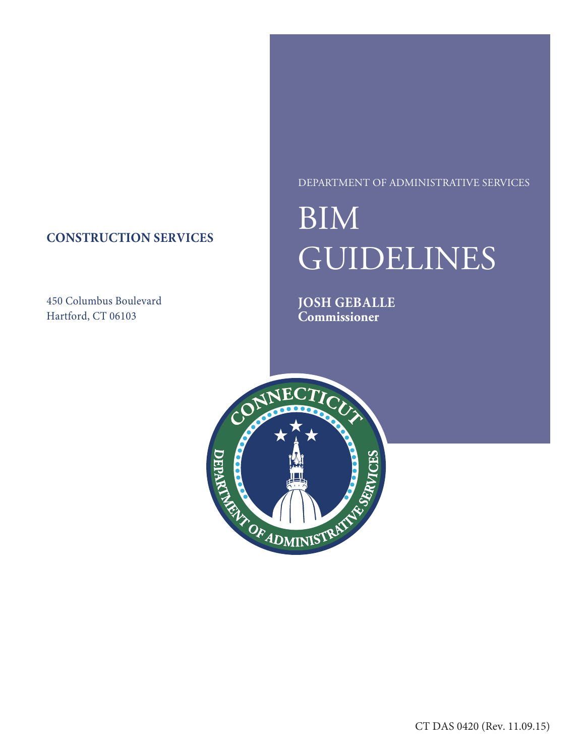# **CONSTRUCTION SERVICES**

450 Columbus Boulevard Hartford, CT 06103

## DEPARTMENT OF ADMINISTRATIVE SERVICES

# BIM GUIDELINES

**JOSH GEBALLE Commissioner**

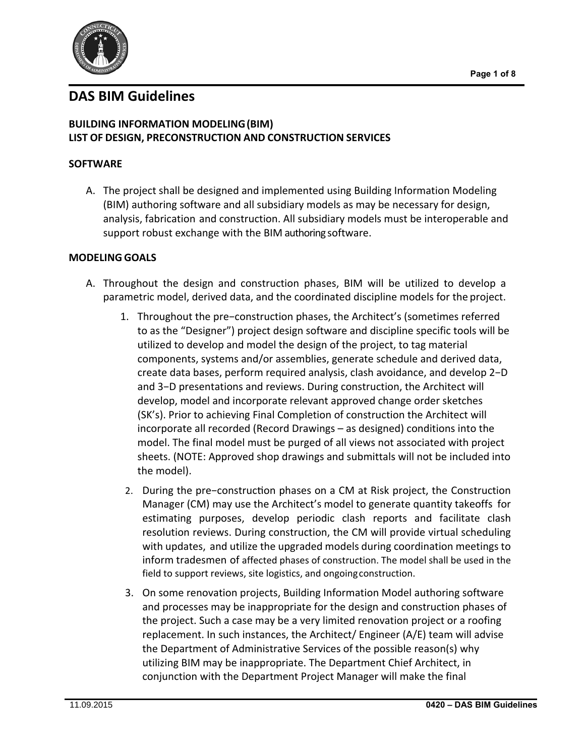

# **DAS BIM Guidelines**

## **BUILDING INFORMATION MODELING(BIM) LIST OF DESIGN, PRECONSTRUCTION AND CONSTRUCTION SERVICES**

## **SOFTWARE**

A. The project shall be designed and implemented using Building Information Modeling (BIM) authoring software and all subsidiary models as may be necessary for design, analysis, fabrication and construction. All subsidiary models must be interoperable and support robust exchange with the BIM authoring software.

## **MODELING GOALS**

- A. Throughout the design and construction phases, BIM will be utilized to develop a parametric model, derived data, and the coordinated discipline models for the project.
	- 1. Throughout the pre−construction phases, the Architect's (sometimes referred to as the "Designer") project design software and discipline specific tools will be utilized to develop and model the design of the project, to tag material components, systems and/or assemblies, generate schedule and derived data, create data bases, perform required analysis, clash avoidance, and develop 2−D and 3−D presentations and reviews. During construction, the Architect will develop, model and incorporate relevant approved change order sketches (SK's). Prior to achieving Final Completion of construction the Architect will incorporate all recorded (Record Drawings – as designed) conditions into the model. The final model must be purged of all views not associated with project sheets. (NOTE: Approved shop drawings and submittals will not be included into the model).
	- 2. During the pre−construction phases on a CM at Risk project, the Construction Manager (CM) may use the Architect's model to generate quantity takeoffs for estimating purposes, develop periodic clash reports and facilitate clash resolution reviews. During construction, the CM will provide virtual scheduling with updates, and utilize the upgraded models during coordination meetings to inform tradesmen of affected phases of construction. The model shall be used in the field to support reviews, site logistics, and ongoingconstruction.
	- 3. On some renovation projects, Building Information Model authoring software and processes may be inappropriate for the design and construction phases of the project. Such a case may be a very limited renovation project or a roofing replacement. In such instances, the Architect/ Engineer (A/E) team will advise the Department of Administrative Services of the possible reason(s) why utilizing BIM may be inappropriate. The Department Chief Architect, in conjunction with the Department Project Manager will make the final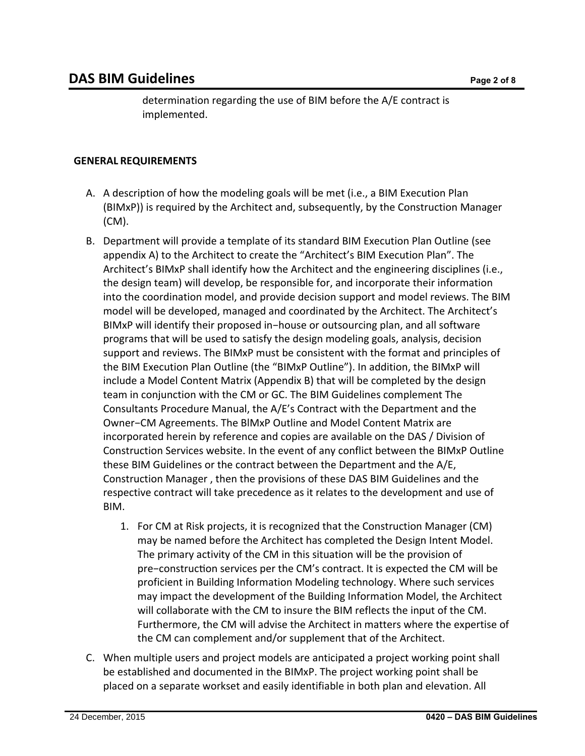determination regarding the use of BIM before the A/E contract is implemented.

## **GENERAL REQUIREMENTS**

- A. A description of how the modeling goals will be met (i.e., a BIM Execution Plan (BIMxP)) is required by the Architect and, subsequently, by the Construction Manager (CM).
- B. Department will provide a template of its standard BIM Execution Plan Outline (see appendix A) to the Architect to create the "Architect's BIM Execution Plan". The Architect's BIMxP shall identify how the Architect and the engineering disciplines (i.e., the design team) will develop, be responsible for, and incorporate their information into the coordination model, and provide decision support and model reviews. The BIM model will be developed, managed and coordinated by the Architect. The Architect's BIMxP will identify their proposed in−house or outsourcing plan, and all software programs that will be used to satisfy the design modeling goals, analysis, decision support and reviews. The BIMxP must be consistent with the format and principles of the BIM Execution Plan Outline (the "BIMxP Outline"). In addition, the BIMxP will include a Model Content Matrix (Appendix B) that will be completed by the design team in conjunction with the CM or GC. The BIM Guidelines complement The Consultants Procedure Manual, the A/E's Contract with the Department and the Owner−CM Agreements. The BlMxP Outline and Model Content Matrix are incorporated herein by reference and copies are available on the DAS / Division of Construction Services website. In the event of any conflict between the BIMxP Outline these BIM Guidelines or the contract between the Department and the A/E, Construction Manager , then the provisions of these DAS BIM Guidelines and the respective contract will take precedence as it relates to the development and use of BIM.
	- 1. For CM at Risk projects, it is recognized that the Construction Manager (CM) may be named before the Architect has completed the Design Intent Model. The primary activity of the CM in this situation will be the provision of pre−construction services per the CM's contract. It is expected the CM will be proficient in Building Information Modeling technology. Where such services may impact the development of the Building Information Model, the Architect will collaborate with the CM to insure the BIM reflects the input of the CM. Furthermore, the CM will advise the Architect in matters where the expertise of the CM can complement and/or supplement that of the Architect.
- C. When multiple users and project models are anticipated a project working point shall be established and documented in the BIMxP. The project working point shall be placed on a separate workset and easily identifiable in both plan and elevation. All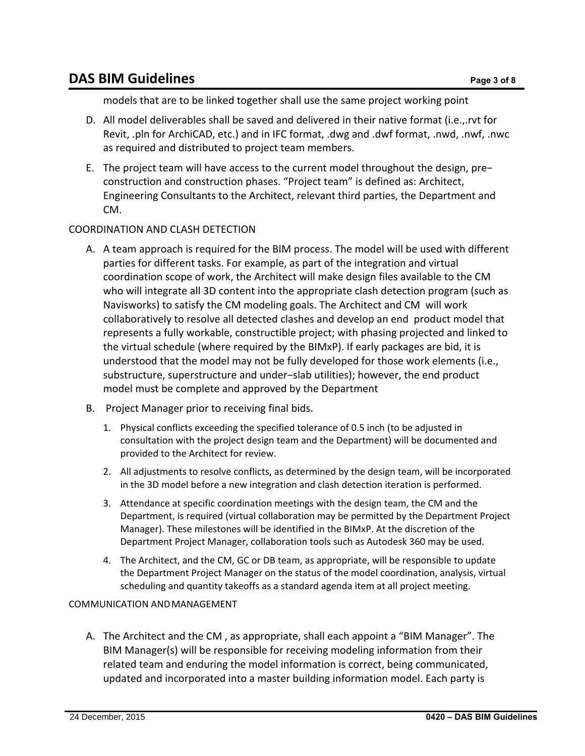models that are to be linked together shall use the same project working point

- D. All model deliverables shall be saved and delivered in their native format (i.e.,.rvt for Revit, .pln for ArchiCAD, etc.) and in IFC format, .dwg and .dwf format, .nwd, .nwf, .nwc as required and distributed to project team members.
- E. The project team will have access to the current model throughout the design, pre− construction and construction phases. "Project team" is defined as: Architect, Engineering Consultants to the Architect, relevant third parties, the Department and CM.

## COORDINATION AND CLASH DETECTION

- A. A team approach is required for the BIM process. The model will be used with different parties for different tasks. For example, as part of the integration and virtual coordination scope of work, the Architect will make design files available to the CM who will integrate all 3D content into the appropriate clash detection program (such as Navisworks) to satisfy the CM modeling goals. The Architect and CM will work collaboratively to resolve all detected clashes and develop an end product model that represents a fully workable, constructible project; with phasing projected and linked to the virtual schedule (where required by the BIMxP). If early packages are bid, it is understood that the model may not be fully developed for those work elements (i.e., substructure, superstructure and under−slab utilities); however, the end product model must be complete and approved by the Department
- B. Project Manager prior to receiving final bids.
	- 1. Physical conflicts exceeding the specified tolerance of 0.5 inch (to be adjusted in consultation with the project design team and the Department) will be documented and provided to the Architect for review.
	- 2. All adjustments to resolve conflicts, as determined by the design team, will be incorporated in the 3D model before a new integration and clash detection iteration is performed.
	- 3. Attendance at specific coordination meetings with the design team, the CM and the Department, is required (virtual collaboration may be permitted by the Department Project Manager). These milestones will be identified in the BIMxP. At the discretion of the Department Project Manager, collaboration tools such as Autodesk 360 may be used.
	- 4. The Architect, and the CM, GC or DB team, as appropriate, will be responsible to update the Department Project Manager on the status of the model coordination, analysis, virtual scheduling and quantity takeoffs as a standard agenda item at all project meeting.

## COMMUNICATION ANDMANAGEMENT

A. The Architect and the CM , as appropriate, shall each appoint a "BIM Manager". The BIM Manager(s) will be responsible for receiving modeling information from their related team and enduring the model information is correct, being communicated, updated and incorporated into a master building information model. Each party is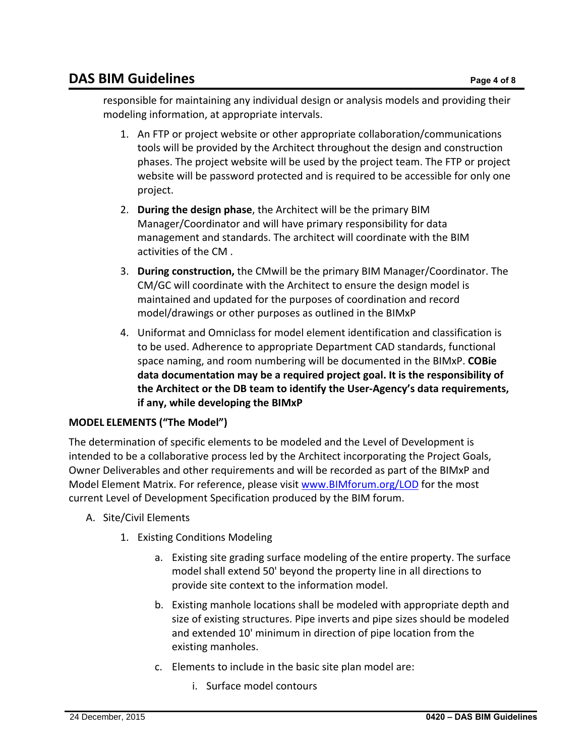# **DAS BIM Guidelines** Page 4 of 8

responsible for maintaining any individual design or analysis models and providing their modeling information, at appropriate intervals.

- 1. An FTP or project website or other appropriate collaboration/communications tools will be provided by the Architect throughout the design and construction phases. The project website will be used by the project team. The FTP or project website will be password protected and is required to be accessible for only one project.
- 2. **During the design phase**, the Architect will be the primary BIM Manager/Coordinator and will have primary responsibility for data management and standards. The architect will coordinate with the BIM activities of the CM .
- 3. **During construction,** the CMwill be the primary BIM Manager/Coordinator. The CM/GC will coordinate with the Architect to ensure the design model is maintained and updated for the purposes of coordination and record model/drawings or other purposes as outlined in the BIMxP
- 4. Uniformat and Omniclass for model element identification and classification is to be used. Adherence to appropriate Department CAD standards, functional space naming, and room numbering will be documented in the BIMxP. **COBie data documentation may be a required project goal. It is the responsibility of the Architect or the DB team to identify the User‐Agency's data requirements, if any, while developing the BIMxP**

## **MODEL ELEMENTS ("The Model")**

The determination of specific elements to be modeled and the Level of Development is intended to be a collaborative process led by the Architect incorporating the Project Goals, Owner Deliverables and other requirements and will be recorded as part of the BIMxP and Model Element Matrix. For reference, please visit www.BIMforum.org/LOD for the most current Level of Development Specification produced by the BIM forum.

- A. Site/Civil Elements
	- 1. Existing Conditions Modeling
		- a. Existing site grading surface modeling of the entire property. The surface model shall extend 50' beyond the property line in all directions to provide site context to the information model.
		- b. Existing manhole locations shall be modeled with appropriate depth and size of existing structures. Pipe inverts and pipe sizes should be modeled and extended 10' minimum in direction of pipe location from the existing manholes.
		- c. Elements to include in the basic site plan model are:
			- i. Surface model contours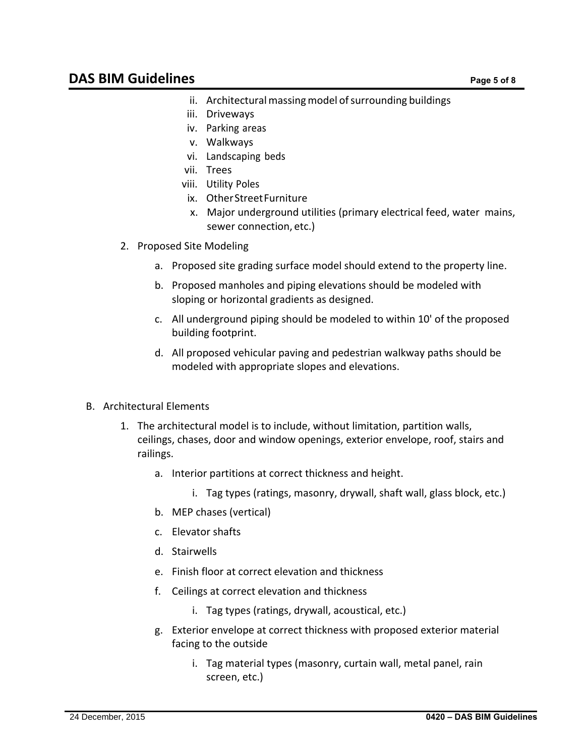- ii. Architectural massing model of surrounding buildings
- iii. Driveways
- iv. Parking areas
- v. Walkways
- vi. Landscaping beds
- vii. Trees
- viii. Utility Poles
- ix. Other Street Furniture
- x. Major underground utilities (primary electrical feed, water mains, sewer connection, etc.)
- 2. Proposed Site Modeling
	- a. Proposed site grading surface model should extend to the property line.
	- b. Proposed manholes and piping elevations should be modeled with sloping or horizontal gradients as designed.
	- c. All underground piping should be modeled to within 10' of the proposed building footprint.
	- d. All proposed vehicular paving and pedestrian walkway paths should be modeled with appropriate slopes and elevations.
- B. Architectural Elements
	- 1. The architectural model is to include, without limitation, partition walls, ceilings, chases, door and window openings, exterior envelope, roof, stairs and railings.
		- a. Interior partitions at correct thickness and height.
			- i. Tag types (ratings, masonry, drywall, shaft wall, glass block, etc.)
		- b. MEP chases (vertical)
		- c. Elevator shafts
		- d. Stairwells
		- e. Finish floor at correct elevation and thickness
		- f. Ceilings at correct elevation and thickness
			- i. Tag types (ratings, drywall, acoustical, etc.)
		- g. Exterior envelope at correct thickness with proposed exterior material facing to the outside
			- i. Tag material types (masonry, curtain wall, metal panel, rain screen, etc.)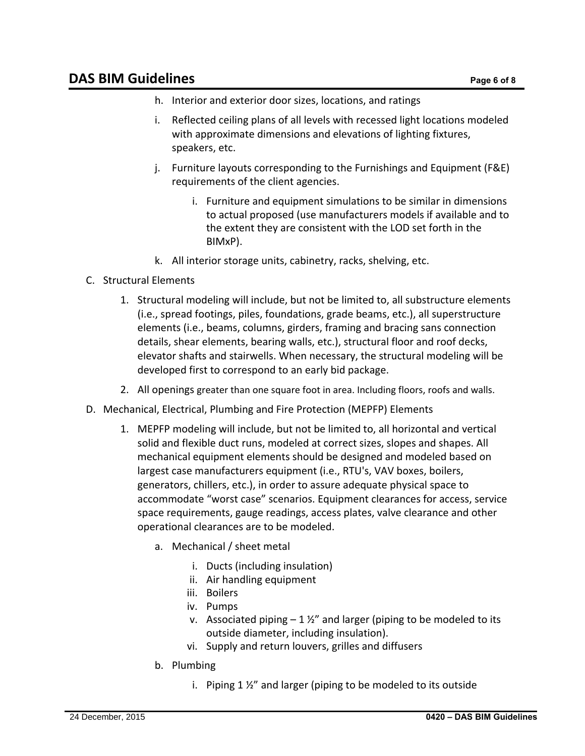# **DAS BIM Guidelines** Page 6 of 8

- h. Interior and exterior door sizes, locations, and ratings
- i. Reflected ceiling plans of all levels with recessed light locations modeled with approximate dimensions and elevations of lighting fixtures, speakers, etc.
- j. Furniture layouts corresponding to the Furnishings and Equipment (F&E) requirements of the client agencies.
	- i. Furniture and equipment simulations to be similar in dimensions to actual proposed (use manufacturers models if available and to the extent they are consistent with the LOD set forth in the BIMxP).
- k. All interior storage units, cabinetry, racks, shelving, etc.
- C. Structural Elements
	- 1. Structural modeling will include, but not be limited to, all substructure elements (i.e., spread footings, piles, foundations, grade beams, etc.), all superstructure elements (i.e., beams, columns, girders, framing and bracing sans connection details, shear elements, bearing walls, etc.), structural floor and roof decks, elevator shafts and stairwells. When necessary, the structural modeling will be developed first to correspond to an early bid package.
	- 2. All openings greater than one square foot in area. Including floors, roofs and walls.
- D. Mechanical, Electrical, Plumbing and Fire Protection (MEPFP) Elements
	- 1. MEPFP modeling will include, but not be limited to, all horizontal and vertical solid and flexible duct runs, modeled at correct sizes, slopes and shapes. All mechanical equipment elements should be designed and modeled based on largest case manufacturers equipment (i.e., RTU's, VAV boxes, boilers, generators, chillers, etc.), in order to assure adequate physical space to accommodate "worst case" scenarios. Equipment clearances for access, service space requirements, gauge readings, access plates, valve clearance and other operational clearances are to be modeled.
		- a. Mechanical / sheet metal
			- i. Ducts (including insulation)
			- ii. Air handling equipment
			- iii. Boilers
			- iv. Pumps
			- v. Associated piping  $-1\frac{1}{2}$  and larger (piping to be modeled to its outside diameter, including insulation).
			- vi. Supply and return louvers, grilles and diffusers
		- b. Plumbing
			- i. Piping 1 ½" and larger (piping to be modeled to its outside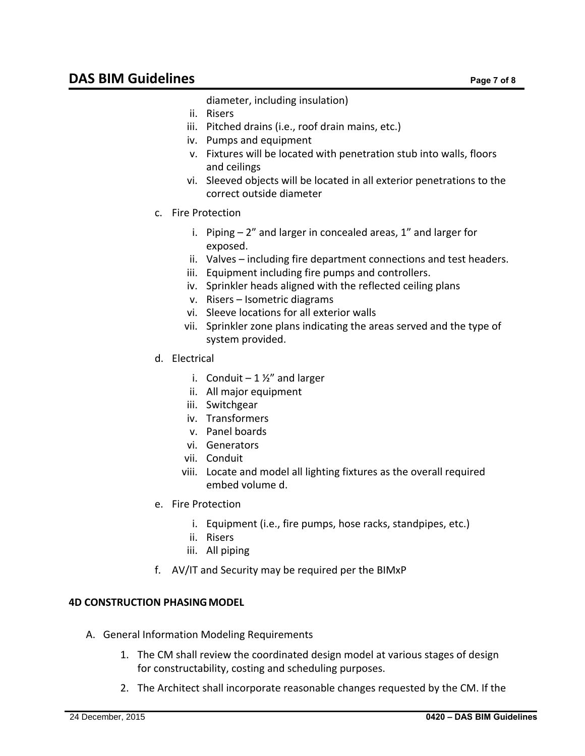diameter, including insulation)

- ii. Risers
- iii. Pitched drains (i.e., roof drain mains, etc.)
- iv. Pumps and equipment
- v. Fixtures will be located with penetration stub into walls, floors and ceilings
- vi. Sleeved objects will be located in all exterior penetrations to the correct outside diameter
- c. Fire Protection
	- i. Piping  $-2$ " and larger in concealed areas,  $1$ " and larger for exposed.
	- ii. Valves including fire department connections and test headers.
	- iii. Equipment including fire pumps and controllers.
	- iv. Sprinkler heads aligned with the reflected ceiling plans
	- v. Risers Isometric diagrams
	- vi. Sleeve locations for all exterior walls
	- vii. Sprinkler zone plans indicating the areas served and the type of system provided.
- d. Electrical
	- i. Conduit  $-1\frac{1}{2}$  and larger
	- ii. All major equipment
	- iii. Switchgear
	- iv. Transformers
	- v. Panel boards
	- vi. Generators
	- vii. Conduit
	- viii. Locate and model all lighting fixtures as the overall required embed volume d.
- e. Fire Protection
	- i. Equipment (i.e., fire pumps, hose racks, standpipes, etc.)
	- ii. Risers
	- iii. All piping
- f. AV/IT and Security may be required per the BIMxP

## **4D CONSTRUCTION PHASINGMODEL**

- A. General Information Modeling Requirements
	- 1. The CM shall review the coordinated design model at various stages of design for constructability, costing and scheduling purposes.
	- 2. The Architect shall incorporate reasonable changes requested by the CM. If the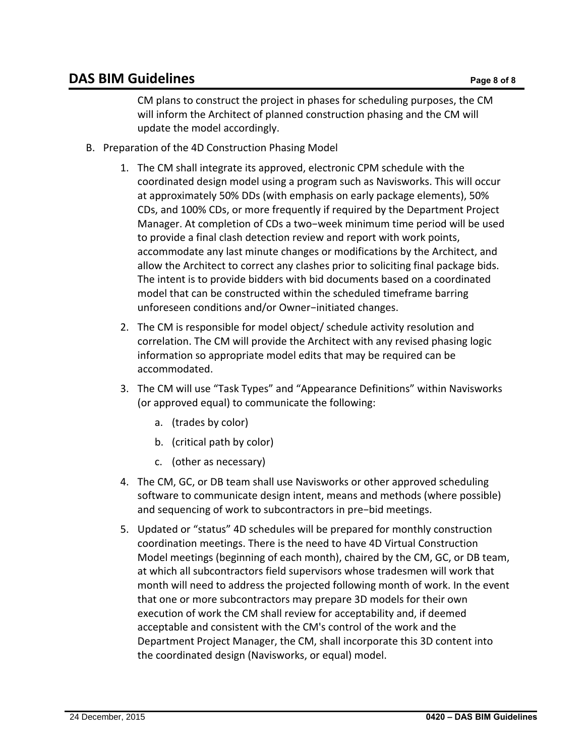CM plans to construct the project in phases for scheduling purposes, the CM will inform the Architect of planned construction phasing and the CM will update the model accordingly.

- B. Preparation of the 4D Construction Phasing Model
	- 1. The CM shall integrate its approved, electronic CPM schedule with the coordinated design model using a program such as Navisworks. This will occur at approximately 50% DDs (with emphasis on early package elements), 50% CDs, and 100% CDs, or more frequently if required by the Department Project Manager. At completion of CDs a two−week minimum time period will be used to provide a final clash detection review and report with work points, accommodate any last minute changes or modifications by the Architect, and allow the Architect to correct any clashes prior to soliciting final package bids. The intent is to provide bidders with bid documents based on a coordinated model that can be constructed within the scheduled timeframe barring unforeseen conditions and/or Owner−initiated changes.
	- 2. The CM is responsible for model object/ schedule activity resolution and correlation. The CM will provide the Architect with any revised phasing logic information so appropriate model edits that may be required can be accommodated.
	- 3. The CM will use "Task Types" and "Appearance Definitions" within Navisworks (or approved equal) to communicate the following:
		- a. (trades by color)
		- b. (critical path by color)
		- c. (other as necessary)
	- 4. The CM, GC, or DB team shall use Navisworks or other approved scheduling software to communicate design intent, means and methods (where possible) and sequencing of work to subcontractors in pre−bid meetings.
	- 5. Updated or "status" 4D schedules will be prepared for monthly construction coordination meetings. There is the need to have 4D Virtual Construction Model meetings (beginning of each month), chaired by the CM, GC, or DB team, at which all subcontractors field supervisors whose tradesmen will work that month will need to address the projected following month of work. In the event that one or more subcontractors may prepare 3D models for their own execution of work the CM shall review for acceptability and, if deemed acceptable and consistent with the CM's control of the work and the Department Project Manager, the CM, shall incorporate this 3D content into the coordinated design (Navisworks, or equal) model.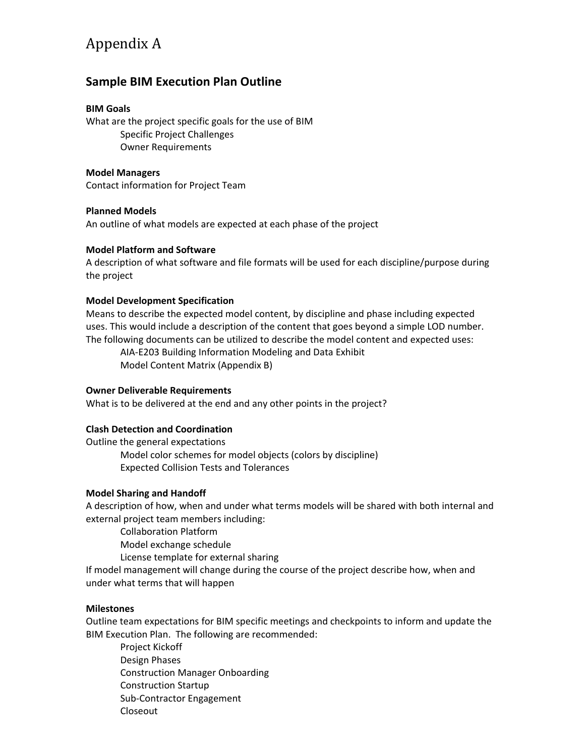# Appendix A

## **Sample BIM Execution Plan Outline**

## **BIM Goals**

What are the project specific goals for the use of BIM Specific Project Challenges Owner Requirements

## **Model Managers**

Contact information for Project Team

### **Planned Models**

An outline of what models are expected at each phase of the project

### **Model Platform and Software**

A description of what software and file formats will be used for each discipline/purpose during the project

### **Model Development Specification**

Means to describe the expected model content, by discipline and phase including expected uses. This would include a description of the content that goes beyond a simple LOD number. The following documents can be utilized to describe the model content and expected uses:

AIA‐E203 Building Information Modeling and Data Exhibit Model Content Matrix (Appendix B)

## **Owner Deliverable Requirements**

What is to be delivered at the end and any other points in the project?

## **Clash Detection and Coordination**

Outline the general expectations Model color schemes for model objects (colors by discipline) Expected Collision Tests and Tolerances

### **Model Sharing and Handoff**

A description of how, when and under what terms models will be shared with both internal and external project team members including:

Collaboration Platform

Model exchange schedule

License template for external sharing

If model management will change during the course of the project describe how, when and under what terms that will happen

### **Milestones**

Outline team expectations for BIM specific meetings and checkpoints to inform and update the BIM Execution Plan. The following are recommended:

Project Kickoff Design Phases Construction Manager Onboarding Construction Startup Sub‐Contractor Engagement Closeout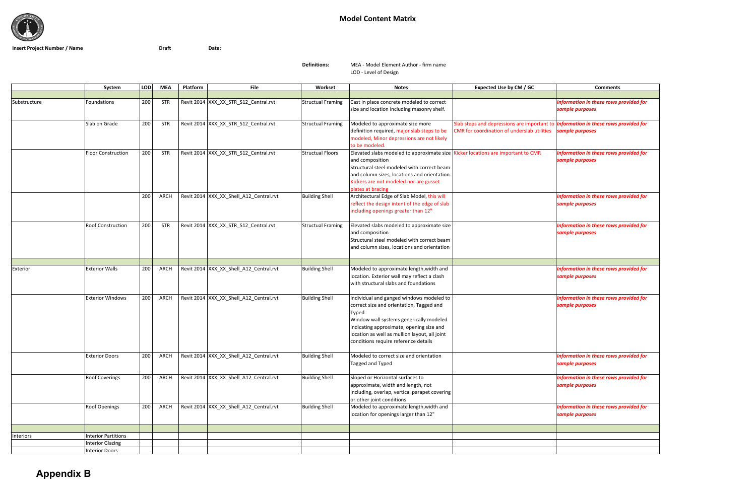

## **Model Content Matrix**

**Insert Project Number / Name Draft Date:**

**Definitions:**

 MEA ‐ Model Element Author ‐ firm name LOD ‐ Level of Design

|              | System                     | <b>LOD</b> | <b>MEA</b> | File<br>Platform                        | Workset                  | <b>Notes</b>                                                                                                                                                                                                                                                                  | Expected Use by CM / GC                                                                                                                  | <b>Comments</b>                                           |
|--------------|----------------------------|------------|------------|-----------------------------------------|--------------------------|-------------------------------------------------------------------------------------------------------------------------------------------------------------------------------------------------------------------------------------------------------------------------------|------------------------------------------------------------------------------------------------------------------------------------------|-----------------------------------------------------------|
|              |                            |            |            |                                         |                          |                                                                                                                                                                                                                                                                               |                                                                                                                                          |                                                           |
| Substructure | Foundations                | 200        | STR        | Revit 2014 XXX_XX_STR_S12_Central.rvt   | <b>Structual Framing</b> | Cast in place concrete modeled to correct<br>size and location including masonry shelf.                                                                                                                                                                                       |                                                                                                                                          | Information in these rows provided for<br>sample purposes |
|              | Slab on Grade              | 200        | <b>STR</b> | Revit 2014 XXX_XX_STR_S12_Central.rvt   | <b>Structual Framing</b> | Modeled to approximate size more<br>definition required, major slab steps to be<br>modeled, Minor depressions are not likely<br>to be modeled.                                                                                                                                | Slab steps and depressions are important to <i>Information in these rows provided for</i><br>CMR for coordination of underslab utilities | sample purposes                                           |
|              | <b>Floor Construction</b>  | 200        | <b>STR</b> | Revit 2014 XXX XX STR S12 Central.rvt   | <b>Structual Floors</b>  | Elevated slabs modeled to approximate size   Kicker locations are important to CMR<br>and composition<br>Structural steel modeled with correct beam<br>and column sizes, locations and orientation.<br>Kickers are not modeled nor are gusset<br>plates at bracing            |                                                                                                                                          | Information in these rows provided for<br>sample purposes |
|              |                            | 200        | ARCH       | Revit 2014 XXX_XX_Shell_A12_Central.rvt | <b>Building Shell</b>    | Architectural Edge of Slab Model, this will<br>reflect the design intent of the edge of slab<br>including openings greater than 12"                                                                                                                                           |                                                                                                                                          | Information in these rows provided for<br>sample purposes |
|              | <b>Roof Construction</b>   | 200        | <b>STR</b> | Revit 2014 XXX_XX_STR_S12_Central.rvt   | <b>Structual Framing</b> | Elevated slabs modeled to approximate size<br>and composition<br>Structural steel modeled with correct beam<br>and column sizes, locations and orientation                                                                                                                    |                                                                                                                                          | Information in these rows provided for<br>sample purposes |
|              |                            |            |            |                                         |                          |                                                                                                                                                                                                                                                                               |                                                                                                                                          |                                                           |
| Exterior     | <b>Exterior Walls</b>      | 200        | ARCH       | Revit 2014 XXX_XX_Shell_A12_Central.rvt | <b>Building Shell</b>    | Modeled to approximate length, width and<br>location. Exterior wall may reflect a clash<br>with structural slabs and foundations                                                                                                                                              |                                                                                                                                          | Information in these rows provided for<br>sample purposes |
|              | <b>Exterior Windows</b>    | 200        | ARCH       | Revit 2014 XXX_XX_Shell_A12_Central.rvt | <b>Building Shell</b>    | Individual and ganged windows modeled to<br>correct size and orientation, Tagged and<br>Typed<br>Window wall systems generically modeled<br>indicating approximate, opening size and<br>location as well as mullion layout, all joint<br>conditions require reference details |                                                                                                                                          | Information in these rows provided for<br>sample purposes |
|              | <b>Exterior Doors</b>      | 200        | ARCH       | Revit 2014 XXX_XX_Shell_A12_Central.rvt | <b>Building Shell</b>    | Modeled to correct size and orientation<br>Tagged and Typed                                                                                                                                                                                                                   |                                                                                                                                          | Information in these rows provided for<br>sample purposes |
|              | <b>Roof Coverings</b>      | 200        | ARCH       | Revit 2014 XXX_XX_Shell_A12_Central.rvt | <b>Building Shell</b>    | Sloped or Horizontal surfaces to<br>approximate, width and length, not<br>including, overlap, vertical parapet covering<br>or other joint conditions                                                                                                                          |                                                                                                                                          | Information in these rows provided for<br>sample purposes |
|              | <b>Roof Openings</b>       | 200        | ARCH       | Revit 2014 XXX_XX_Shell_A12_Central.rvt | <b>Building Shell</b>    | Modeled to approximate length, width and<br>location for openings larger than 12"                                                                                                                                                                                             |                                                                                                                                          | Information in these rows provided for<br>sample purposes |
|              |                            |            |            |                                         |                          |                                                                                                                                                                                                                                                                               |                                                                                                                                          |                                                           |
| Interiors    | <b>Interior Partitions</b> |            |            |                                         |                          |                                                                                                                                                                                                                                                                               |                                                                                                                                          |                                                           |
|              | <b>Interior Glazing</b>    |            |            |                                         |                          |                                                                                                                                                                                                                                                                               |                                                                                                                                          |                                                           |
|              | <b>Interior Doors</b>      |            |            |                                         |                          |                                                                                                                                                                                                                                                                               |                                                                                                                                          |                                                           |

**Appendix B**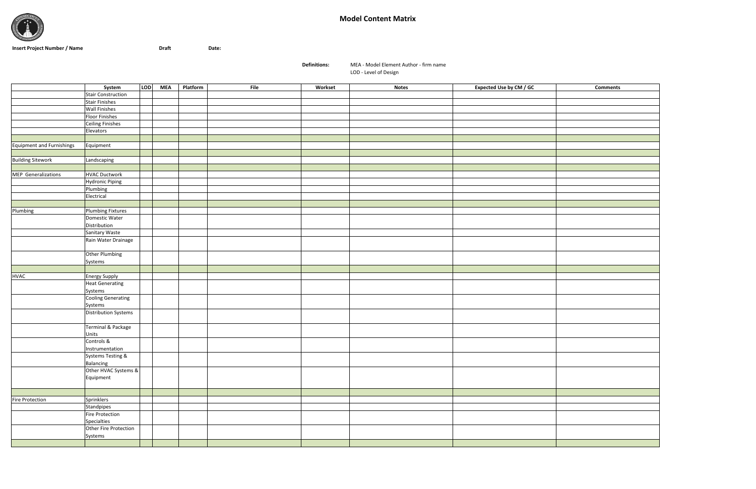

## **Model Content Matrix**

**Insert Project Number / Name Draft Date:**

**Definitions:**

MEA ‐ Model Element Author ‐ firm name

LOD ‐ Level of Design

|                                  | System                         | <b>LOD</b> | <b>MEA</b> | Platform | File | Workset | <b>Notes</b> | Expected Use by CM / GC | <b>Comments</b> |
|----------------------------------|--------------------------------|------------|------------|----------|------|---------|--------------|-------------------------|-----------------|
|                                  | <b>Stair Construction</b>      |            |            |          |      |         |              |                         |                 |
|                                  | <b>Stair Finishes</b>          |            |            |          |      |         |              |                         |                 |
|                                  | <b>Wall Finishes</b>           |            |            |          |      |         |              |                         |                 |
|                                  | <b>Floor Finishes</b>          |            |            |          |      |         |              |                         |                 |
|                                  | Ceiling Finishes               |            |            |          |      |         |              |                         |                 |
|                                  | Elevators                      |            |            |          |      |         |              |                         |                 |
|                                  |                                |            |            |          |      |         |              |                         |                 |
| <b>Equipment and Furnishings</b> | Equipment                      |            |            |          |      |         |              |                         |                 |
|                                  |                                |            |            |          |      |         |              |                         |                 |
| <b>Building Sitework</b>         | Landscaping                    |            |            |          |      |         |              |                         |                 |
|                                  |                                |            |            |          |      |         |              |                         |                 |
| MEP Generalizations              | <b>HVAC Ductwork</b>           |            |            |          |      |         |              |                         |                 |
|                                  | <b>Hydronic Piping</b>         |            |            |          |      |         |              |                         |                 |
|                                  | Plumbing                       |            |            |          |      |         |              |                         |                 |
|                                  | Electrical                     |            |            |          |      |         |              |                         |                 |
|                                  |                                |            |            |          |      |         |              |                         |                 |
| Plumbing                         | <b>Plumbing Fixtures</b>       |            |            |          |      |         |              |                         |                 |
|                                  | Domestic Water                 |            |            |          |      |         |              |                         |                 |
|                                  | Distribution                   |            |            |          |      |         |              |                         |                 |
|                                  | Sanitary Waste                 |            |            |          |      |         |              |                         |                 |
|                                  | Rain Water Drainage            |            |            |          |      |         |              |                         |                 |
|                                  |                                |            |            |          |      |         |              |                         |                 |
|                                  | Other Plumbing                 |            |            |          |      |         |              |                         |                 |
|                                  | Systems                        |            |            |          |      |         |              |                         |                 |
|                                  |                                |            |            |          |      |         |              |                         |                 |
| <b>HVAC</b>                      | <b>Energy Supply</b>           |            |            |          |      |         |              |                         |                 |
|                                  | <b>Heat Generating</b>         |            |            |          |      |         |              |                         |                 |
|                                  | Systems                        |            |            |          |      |         |              |                         |                 |
|                                  | <b>Cooling Generating</b>      |            |            |          |      |         |              |                         |                 |
|                                  | Systems                        |            |            |          |      |         |              |                         |                 |
|                                  | <b>Distribution Systems</b>    |            |            |          |      |         |              |                         |                 |
|                                  |                                |            |            |          |      |         |              |                         |                 |
|                                  | Terminal & Package             |            |            |          |      |         |              |                         |                 |
|                                  | Units                          |            |            |          |      |         |              |                         |                 |
|                                  | Controls &                     |            |            |          |      |         |              |                         |                 |
|                                  | Instrumentation                |            |            |          |      |         |              |                         |                 |
|                                  | Systems Testing &              |            |            |          |      |         |              |                         |                 |
|                                  | Balancing                      |            |            |          |      |         |              |                         |                 |
|                                  | Other HVAC Systems &           |            |            |          |      |         |              |                         |                 |
|                                  | Equipment                      |            |            |          |      |         |              |                         |                 |
|                                  |                                |            |            |          |      |         |              |                         |                 |
|                                  |                                |            |            |          |      |         |              |                         |                 |
| Fire Protection                  | Sprinklers                     |            |            |          |      |         |              |                         |                 |
|                                  | Standpipes                     |            |            |          |      |         |              |                         |                 |
|                                  | Fire Protection<br>Specialties |            |            |          |      |         |              |                         |                 |
|                                  | Other Fire Protection          |            |            |          |      |         |              |                         |                 |
|                                  |                                |            |            |          |      |         |              |                         |                 |
|                                  | Systems                        |            |            |          |      |         |              |                         |                 |
|                                  |                                |            |            |          |      |         |              |                         |                 |